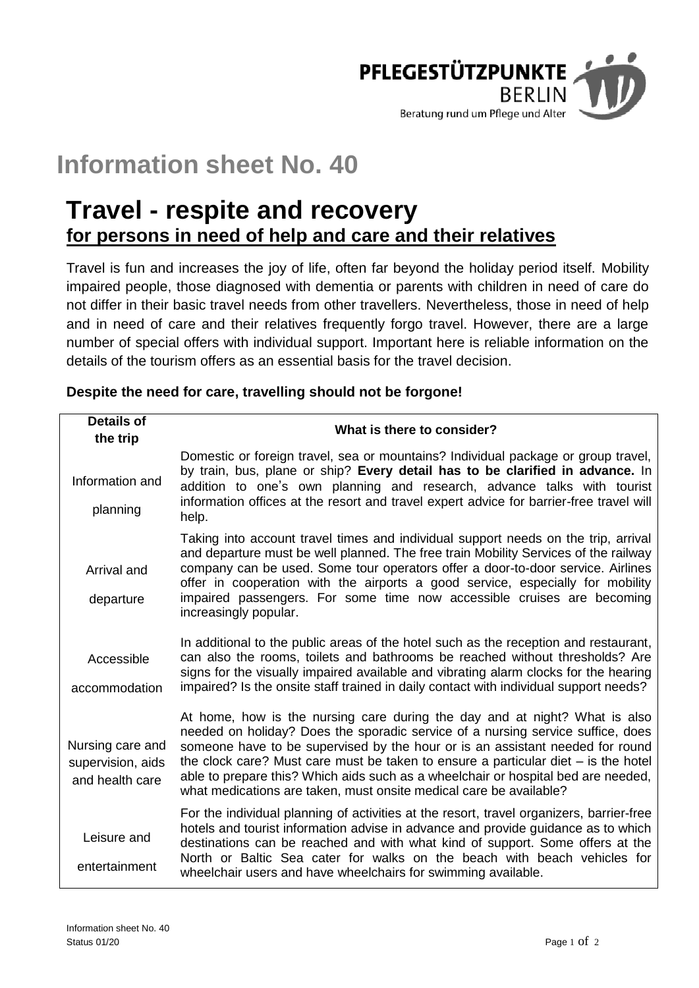

# **Information sheet No. 40**

# **Travel - respite and recovery for persons in need of help and care and their relatives**

Travel is fun and increases the joy of life, often far beyond the holiday period itself. Mobility impaired people, those diagnosed with dementia or parents with children in need of care do not differ in their basic travel needs from other travellers. Nevertheless, those in need of help and in need of care and their relatives frequently forgo travel. However, there are a large number of special offers with individual support. Important here is reliable information on the details of the tourism offers as an essential basis for the travel decision.

| <b>Details of</b>                                        | What is there to consider?                                                                                                                                                                                                                                                                                                                                                                                                                                                                        |
|----------------------------------------------------------|---------------------------------------------------------------------------------------------------------------------------------------------------------------------------------------------------------------------------------------------------------------------------------------------------------------------------------------------------------------------------------------------------------------------------------------------------------------------------------------------------|
| the trip                                                 |                                                                                                                                                                                                                                                                                                                                                                                                                                                                                                   |
| Information and<br>planning                              | Domestic or foreign travel, sea or mountains? Individual package or group travel,<br>by train, bus, plane or ship? Every detail has to be clarified in advance. In<br>addition to one's own planning and research, advance talks with tourist<br>information offices at the resort and travel expert advice for barrier-free travel will<br>help.                                                                                                                                                 |
| Arrival and<br>departure                                 | Taking into account travel times and individual support needs on the trip, arrival<br>and departure must be well planned. The free train Mobility Services of the railway<br>company can be used. Some tour operators offer a door-to-door service. Airlines<br>offer in cooperation with the airports a good service, especially for mobility<br>impaired passengers. For some time now accessible cruises are becoming<br>increasingly popular.                                                 |
| Accessible<br>accommodation                              | In additional to the public areas of the hotel such as the reception and restaurant,<br>can also the rooms, toilets and bathrooms be reached without thresholds? Are<br>signs for the visually impaired available and vibrating alarm clocks for the hearing<br>impaired? Is the onsite staff trained in daily contact with individual support needs?                                                                                                                                             |
| Nursing care and<br>supervision, aids<br>and health care | At home, how is the nursing care during the day and at night? What is also<br>needed on holiday? Does the sporadic service of a nursing service suffice, does<br>someone have to be supervised by the hour or is an assistant needed for round<br>the clock care? Must care must be taken to ensure a particular diet $-$ is the hotel<br>able to prepare this? Which aids such as a wheelchair or hospital bed are needed,<br>what medications are taken, must onsite medical care be available? |
| Leisure and<br>entertainment                             | For the individual planning of activities at the resort, travel organizers, barrier-free<br>hotels and tourist information advise in advance and provide guidance as to which<br>destinations can be reached and with what kind of support. Some offers at the<br>North or Baltic Sea cater for walks on the beach with beach vehicles for<br>wheelchair users and have wheelchairs for swimming available.                                                                                       |

# **Despite the need for care, travelling should not be forgone!**